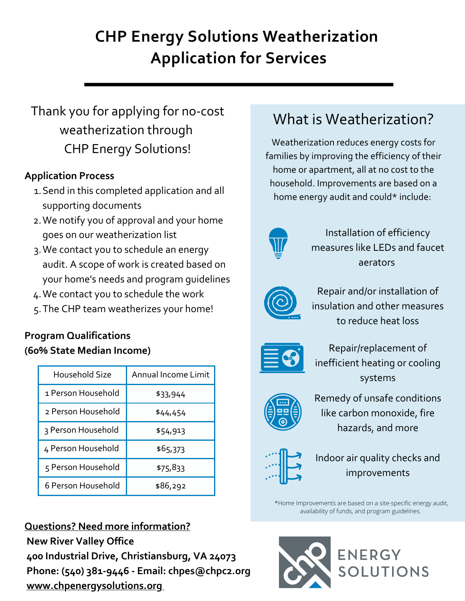# **CHP Energy Solutions Weatherization Application for Services**

# Thank you for applying for no-cost weatherization through CHP Energy Solutions!

# **Application Process**

- 1. Send in this completed application and all supporting documents
- We notify you of approval and your home 2. goes on our weatherization list
- We contact you to schedule an energy 3. audit. A scope of work is created based on your home's needs and program guidelines
- We contact you to schedule the work 4.
- The CHP team weatherizes your home! 5.

# **Program Qualifications (60% State Median Income)**

| Household Size     | Annual Income Limit |
|--------------------|---------------------|
| 1 Person Household | \$33,944            |
| 2 Person Household | \$44,454            |
| 3 Person Household | \$54,913            |
| 4 Person Household | \$65,373            |
| 5 Person Household | \$75,833            |
| 6 Person Household | \$86,292            |

# **Questions? Need more information?**

**New River Valley Office 400 Industrial Drive, Christiansburg, VA 24073 Phone: (540) 381-9446 - Email: chpes@chpc2.org [www.chpenergysolutions.org](http://www.chpenergysolutions.org/)**

# What is Weatherization?

Weatherization reduces energy costs for families by improving the efficiency of their home or apartment, all at no cost to the household. Improvements are based on a home energy audit and could\* include:



Installation of efficiency measures like LEDs and faucet aerators



Repair and/or installation of insulation and other measures to reduce heat loss



Repair/replacement of inefficient heating or cooling systems



Remedy of unsafe conditions like carbon monoxide, fire hazards, and more



Indoor air quality checks and improvements

\*Home Improvements are based on a site-specific energy audit, availability of funds, and program guidelines.

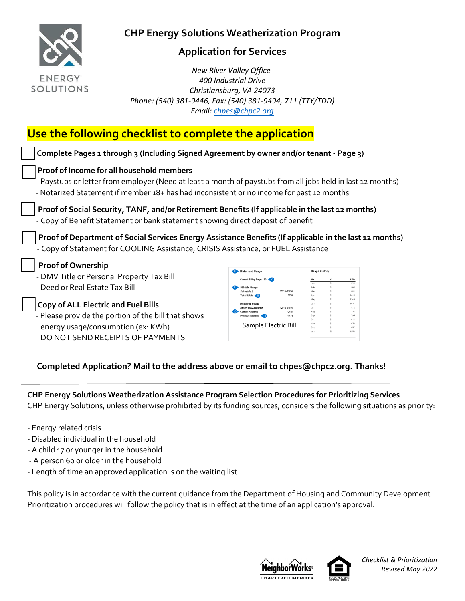

## **Application for Services**

 *New River Valley Office 400 Industrial Drive Christiansburg, VA 24073 Phone: (540) 381-9446, Fax: (540) 381-9494, 711 (TTY/TDD) Email: [chpes@chpc2.org](mailto:chpes@chpc2.org)*

# **Use the following checklist to complete the application**

| Complete Pages 1 through 3 (Including Signed Agreement by owner and/or tenant - Page 3)                                                                                                                 |                                            |                |                      |                      |                           |
|---------------------------------------------------------------------------------------------------------------------------------------------------------------------------------------------------------|--------------------------------------------|----------------|----------------------|----------------------|---------------------------|
| Proof of Income for all household members                                                                                                                                                               |                                            |                |                      |                      |                           |
| - Paystubs or letter from employer (Need at least a month of paystubs from all jobs held in last 12 months)<br>- Notarized Statement if member 18+ has had inconsistent or no income for past 12 months |                                            |                |                      |                      |                           |
| Proof of Social Security, TANF, and/or Retirement Benefits (If applicable in the last 12 months)                                                                                                        |                                            |                |                      |                      |                           |
| - Copy of Benefit Statement or bank statement showing direct deposit of benefit                                                                                                                         |                                            |                |                      |                      |                           |
|                                                                                                                                                                                                         |                                            |                |                      |                      |                           |
| Proof of Department of Social Services Energy Assistance Benefits (If applicable in the last 12 months)<br>- Copy of Statement for COOLING Assistance, CRISIS Assistance, or FUEL Assistance            |                                            |                |                      |                      |                           |
| <b>Proof of Ownership</b>                                                                                                                                                                               | 6 Meter and Usage                          |                | <b>Usage History</b> |                      |                           |
| - DMV Title or Personal Property Tax Bill                                                                                                                                                               | Current Billing Days: 30                   |                |                      |                      | kWh                       |
| - Deed or Real Estate Tax Bill                                                                                                                                                                          | llable Usage<br>Schedule<br>Total kWh < 9  | 12/15-01/14    |                      | 21<br>21<br>21<br>21 | 838<br>805<br>981<br>1415 |
| <b>Copy of ALL Electric and Fuel Bills</b>                                                                                                                                                              | Meter-0002345678                           | 12/15-01/14    | May<br>Jul.          | 21                   | 1345<br>1037<br>972       |
| - Please provide the portion of the bill that shows                                                                                                                                                     | <b>Current Reading</b><br>Previous Reading | 72451<br>71479 | Aug<br>Oct           | 21<br>21             | 731<br>795<br>811         |

#### **Completed Application? Mail to the address above or email to chpes@chpc2.org. Thanks!**

**CHP Energy Solutions Weatherization Assistance Program Selection Procedures for Prioritizing Services** CHP Energy Solutions, unless otherwise prohibited by its funding sources, considers the following situations as priority:

- Energy related crisis
- Disabled individual in the household
- A child 17 or younger in the household

DO NOT SEND RECEIPTS OF PAYMENTS

- A person 60 or older in the household
- Length of time an approved application is on the waiting list

This policy is in accordance with the current guidance from the Department of Housing and Community Development. Prioritization procedures will follow the policy that is in effect at the time of an application's approval.





*Checklist & Prioritization Revised May 2022*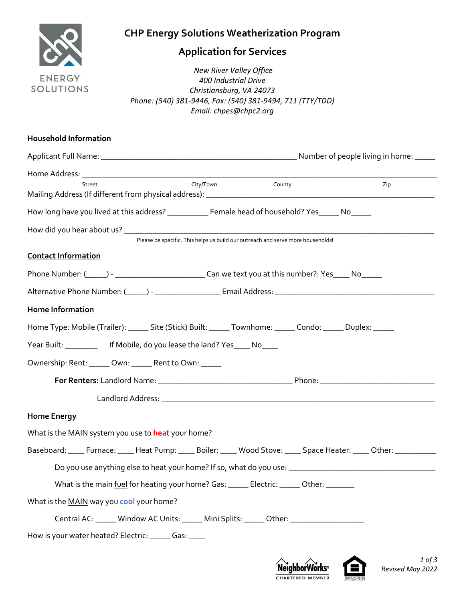

# **Application for Services**

 *New River Valley Office 400 Industrial Drive Christiansburg, VA 24073 Phone: (540) 381-9446, Fax: (540) 381-9494, 711 (TTY/TDD) Email: chpes@chpc2.org*

| <b>Household Information</b>                                                                                           |     |
|------------------------------------------------------------------------------------------------------------------------|-----|
|                                                                                                                        |     |
| City/Town County<br>Street                                                                                             | Zip |
|                                                                                                                        |     |
| How long have you lived at this address? ___________ Female head of household? Yes_____ No_____                        |     |
|                                                                                                                        |     |
| Please be specific. This helps us build our outreach and serve more households!                                        |     |
| <b>Contact Information</b>                                                                                             |     |
|                                                                                                                        |     |
| Alternative Phone Number: (_____) - _________________________Email Address: __________________________________         |     |
| Home Information                                                                                                       |     |
| Home Type: Mobile (Trailer): ______ Site (Stick) Built: ______ Townhome: ______ Condo: ______ Duplex: _____            |     |
| Year Built: ____________ If Mobile, do you lease the land? Yes____ No____                                              |     |
| Ownership: Rent: _____ Own: _____ Rent to Own: _____                                                                   |     |
|                                                                                                                        |     |
|                                                                                                                        |     |
| <b>Home Energy</b>                                                                                                     |     |
| What is the MAIN system you use to heat your home?                                                                     |     |
| Baseboard: _____ Furnace: _____ Heat Pump: _____ Boiler: _____ Wood Stove: _____ Space Heater: _____ Other: __________ |     |
|                                                                                                                        |     |
| What is the main fuel for heating your home? Gas: ______ Electric: ______ Other: _______                               |     |
| What is the MAIN way you cool your home?                                                                               |     |
| Central AC: ______ Window AC Units: ______ Mini Splits: ______ Other: _________________                                |     |
| How is your water heated? Electric: ______ Gas: ____                                                                   |     |



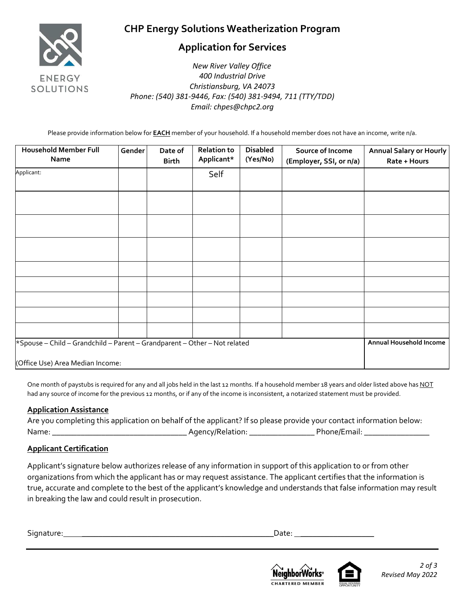

## **Application for Services**

 *New River Valley Office 400 Industrial Drive Christiansburg, VA 24073 Phone: (540) 381-9446, Fax: (540) 381-9494, 711 (TTY/TDD) Email: chpes@chpc2.org*

Please provide information below for **EACH** member of your household. If a household member does not have an income, write n/a.

| <b>Household Member Full</b><br>Name                                                                          | Gender | Date of<br><b>Birth</b> | <b>Relation to</b><br>Applicant* | <b>Disabled</b><br>(Yes/No) | Source of Income<br>(Employer, SSI, or n/a) | <b>Annual Salary or Hourly</b><br>Rate + Hours |
|---------------------------------------------------------------------------------------------------------------|--------|-------------------------|----------------------------------|-----------------------------|---------------------------------------------|------------------------------------------------|
| Applicant:                                                                                                    |        |                         | Self                             |                             |                                             |                                                |
|                                                                                                               |        |                         |                                  |                             |                                             |                                                |
|                                                                                                               |        |                         |                                  |                             |                                             |                                                |
|                                                                                                               |        |                         |                                  |                             |                                             |                                                |
|                                                                                                               |        |                         |                                  |                             |                                             |                                                |
|                                                                                                               |        |                         |                                  |                             |                                             |                                                |
|                                                                                                               |        |                         |                                  |                             |                                             |                                                |
|                                                                                                               |        |                         |                                  |                             |                                             |                                                |
|                                                                                                               |        |                         |                                  |                             |                                             |                                                |
| *Spouse - Child - Grandchild - Parent - Grandparent - Other - Not related<br>(Office Use) Area Median Income: |        |                         |                                  |                             |                                             | Annual Household Income                        |

One month of paystubs is required for any and all jobs held in the last 12 months. If a household member 18 years and older listed above has NOT had any source of income for the previous 12 months, or if any of the income is inconsistent, a notarized statement must be provided.

#### **Application Assistance**

| Are you completing this application on behalf of the applicant? If so please provide your contact information below: |                  |              |
|----------------------------------------------------------------------------------------------------------------------|------------------|--------------|
| Name:                                                                                                                | Agency/Relation: | Phone/Email: |

#### **Applicant Certification**

Applicant's signature below authorizes release of any information in support of this application to or from other organizations from which the applicant has or may request assistance. The applicant certifies that the information is true, accurate and complete to the best of the applicant's knowledge and understands that false information may result in breaking the law and could result in prosecution.

Signature: **\_\_\_\_\_\_\_\_\_\_\_\_\_\_\_\_\_\_\_\_\_\_\_\_\_\_\_\_\_\_\_\_\_\_\_\_\_\_\_\_\_\_\_\_\_\_\_**Date: **\_\_\_\_\_\_\_\_\_\_\_\_\_\_\_\_\_\_**